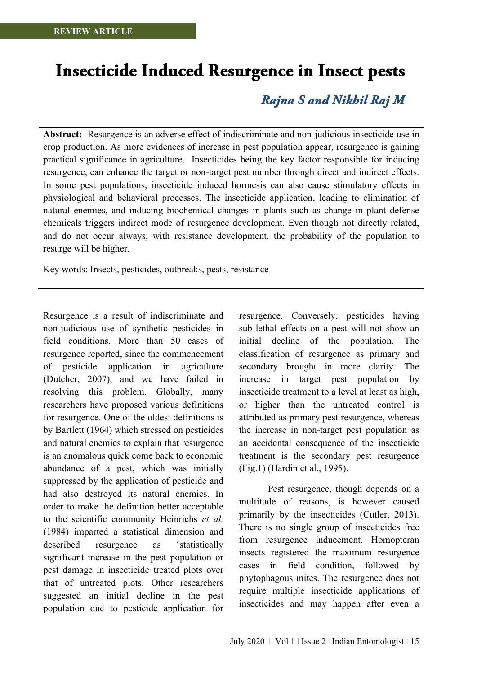# **Insecticide Induced Resurgence in Insect pests**

# Rajna S and Nikhil Raj M

**Abstract:** Resurgence is an adverse effect of indiscriminate and non-judicious insecticide use in crop production. As more evidences of increase in pest population appear, resurgence is gaining practical significance in agriculture. Insecticides being the key factor responsible for inducing resurgence, can enhance the target or non-target pest number through direct and indirect effects. In some pest populations, insecticide induced hormesis can also cause stimulatory effects in physiological and behavioral processes. The insecticide application, leading to elimination of natural enemies, and inducing biochemical changes in plants such as change in plant defense chemicals triggers indirect mode of resurgence development. Even though not directly related, and do not occur always, with resistance development, the probability of the population to resurge will be higher.

Key words: Insects, pesticides, outbreaks, pests, resistance

Resurgence is a result of indiscriminate and non-judicious use of synthetic pesticides in field conditions. More than 50 cases of resurgence reported, since the commencement of pesticide application in agriculture (Dutcher, 2007), and we have failed in resolving this problem. Globally, many researchers have proposed various definitions for resurgence. One of the oldest definitions is by Bartlett (1964) which stressed on pesticides and natural enemies to explain that resurgence is an anomalous quick come back to economic abundance of a pest, which was initially suppressed by the application of pesticide and had also destroyed its natural enemies. In order to make the definition better acceptable to the scientific community Heinrichs *et al.* (1984) imparted a statistical dimension and described resurgence as 'statistically significant increase in the pest population or pest damage in insecticide treated plots over that of untreated plots. Other researchers suggested an initial decline in the pest population due to pesticide application for

resurgence. Conversely, pesticides having sub-lethal effects on a pest will not show an initial decline of the population. The classification of resurgence as primary and secondary brought in more clarity. The increase in target pest population by insecticide treatment to a level at least as high, or higher than the untreated control is attributed as primary pest resurgence, whereas the increase in non-target pest population as an accidental consequence of the insecticide treatment is the secondary pest resurgence (Fig.1) (Hardin et al., 1995).

Pest resurgence, though depends on a multitude of reasons, is however caused primarily by the insecticides (Cutler, 2013). There is no single group of insecticides free from resurgence inducement. Homopteran insects registered the maximum resurgence cases in field condition, followed by phytophagous mites. The resurgence does not require multiple insecticide applications of insecticides and may happen after even a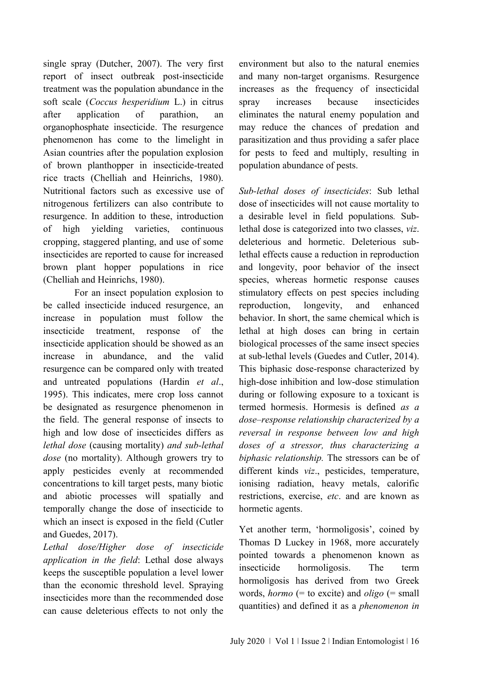single spray (Dutcher, 2007). The very first report of insect outbreak post-insecticide treatment was the population abundance in the soft scale (*Coccus hesperidium* L.) in citrus after application of parathion, an organophosphate insecticide. The resurgence phenomenon has come to the limelight in Asian countries after the population explosion of brown planthopper in insecticide-treated rice tracts (Chelliah and Heinrichs, 1980). Nutritional factors such as excessive use of nitrogenous fertilizers can also contribute to resurgence. In addition to these, introduction of high yielding varieties, continuous cropping, staggered planting, and use of some insecticides are reported to cause for increased brown plant hopper populations in rice (Chelliah and Heinrichs, 1980).

For an insect population explosion to be called insecticide induced resurgence, an increase in population must follow the insecticide treatment, response of the insecticide application should be showed as an increase in abundance, and the valid resurgence can be compared only with treated and untreated populations (Hardin *et al*., 1995). This indicates, mere crop loss cannot be designated as resurgence phenomenon in the field. The general response of insects to high and low dose of insecticides differs as *lethal dose* (causing mortality) *and sub-lethal dose* (no mortality). Although growers try to apply pesticides evenly at recommended concentrations to kill target pests, many biotic and abiotic processes will spatially and temporally change the dose of insecticide to which an insect is exposed in the field (Cutler and Guedes, 2017).

*Lethal dose/Higher dose of insecticide application in the field*: Lethal dose always keeps the susceptible population a level lower than the economic threshold level. Spraying insecticides more than the recommended dose can cause deleterious effects to not only the

environment but also to the natural enemies and many non-target organisms. Resurgence increases as the frequency of insecticidal spray increases because insecticides eliminates the natural enemy population and may reduce the chances of predation and parasitization and thus providing a safer place for pests to feed and multiply, resulting in population abundance of pests.

*Sub-lethal doses of insecticides*: Sub lethal dose of insecticides will not cause mortality to a desirable level in field populations*.* Sublethal dose is categorized into two classes, *viz*. deleterious and hormetic. Deleterious sublethal effects cause a reduction in reproduction and longevity, poor behavior of the insect species, whereas hormetic response causes stimulatory effects on pest species including reproduction, longevity, and enhanced behavior. In short, the same chemical which is lethal at high doses can bring in certain biological processes of the same insect species at sub-lethal levels (Guedes and Cutler, 2014). This biphasic dose-response characterized by high-dose inhibition and low-dose stimulation during or following exposure to a toxicant is termed hormesis. Hormesis is defined *as a dose–response relationship characterized by a reversal in response between low and high doses of a stressor, thus characterizing a biphasic relationship.* The stressors can be of different kinds *viz*., pesticides, temperature, ionising radiation, heavy metals, calorific restrictions, exercise, *etc*. and are known as hormetic agents.

Yet another term, 'hormoligosis', coined by Thomas D Luckey in 1968, more accurately pointed towards a phenomenon known as insecticide hormoligosis. The term hormoligosis has derived from two Greek words, *hormo* (= to excite) and *oligo* (= small quantities) and defined it as a *phenomenon in*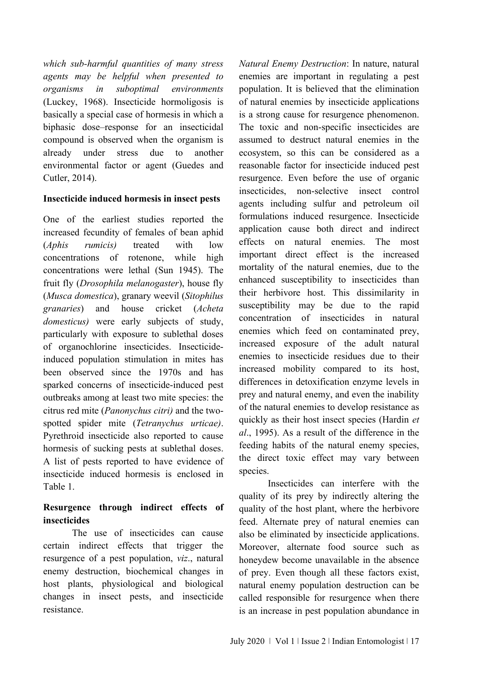*which sub-harmful quantities of many stress agents may be helpful when presented to organisms in suboptimal environments* (Luckey, 1968). Insecticide hormoligosis is basically a special case of hormesis in which a biphasic dose–response for an insecticidal compound is observed when the organism is already under stress due to another environmental factor or agent (Guedes and Cutler, 2014).

#### **Insecticide induced hormesis in insect pests**

One of the earliest studies reported the increased fecundity of females of bean aphid (*Aphis rumicis)* treated with low concentrations of rotenone, while high concentrations were lethal (Sun 1945). The fruit fly (*Drosophila melanogaster*), house fly (*Musca domestica*), granary weevil (*Sitophilus granaries*) and house cricket (*Acheta domesticus)* were early subjects of study, particularly with exposure to sublethal doses of organochlorine insecticides. Insecticideinduced population stimulation in mites has been observed since the 1970s and has sparked concerns of insecticide-induced pest outbreaks among at least two mite species: the citrus red mite (*Panonychus citri)* and the twospotted spider mite (*Tetranychus urticae)*. Pyrethroid insecticide also reported to cause hormesis of sucking pests at sublethal doses. A list of pests reported to have evidence of insecticide induced hormesis is enclosed in Table 1.

### **Resurgence through indirect effects of insecticides**

The use of insecticides can cause certain indirect effects that trigger the resurgence of a pest population, *viz*., natural enemy destruction, biochemical changes in host plants, physiological and biological changes in insect pests, and insecticide resistance.

*Natural Enemy Destruction*: In nature, natural enemies are important in regulating a pest population. It is believed that the elimination of natural enemies by insecticide applications is a strong cause for resurgence phenomenon. The toxic and non-specific insecticides are assumed to destruct natural enemies in the ecosystem, so this can be considered as a reasonable factor for insecticide induced pest resurgence. Even before the use of organic insecticides, non-selective insect control agents including sulfur and petroleum oil formulations induced resurgence. Insecticide application cause both direct and indirect effects on natural enemies. The most important direct effect is the increased mortality of the natural enemies, due to the enhanced susceptibility to insecticides than their herbivore host. This dissimilarity in susceptibility may be due to the rapid concentration of insecticides in natural enemies which feed on contaminated prey, increased exposure of the adult natural enemies to insecticide residues due to their increased mobility compared to its host, differences in detoxification enzyme levels in prey and natural enemy, and even the inability of the natural enemies to develop resistance as quickly as their host insect species (Hardin *et al*., 1995). As a result of the difference in the feeding habits of the natural enemy species, the direct toxic effect may vary between species.

Insecticides can interfere with the quality of its prey by indirectly altering the quality of the host plant, where the herbivore feed. Alternate prey of natural enemies can also be eliminated by insecticide applications. Moreover, alternate food source such as honeydew become unavailable in the absence of prey. Even though all these factors exist, natural enemy population destruction can be called responsible for resurgence when there is an increase in pest population abundance in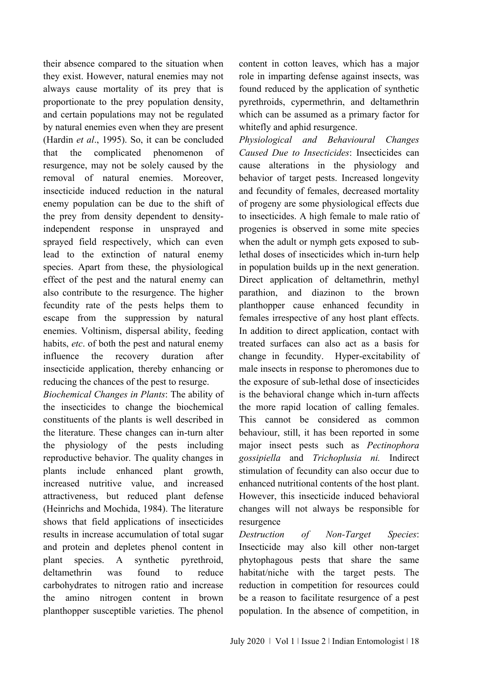their absence compared to the situation when they exist. However, natural enemies may not always cause mortality of its prey that is proportionate to the prey population density, and certain populations may not be regulated by natural enemies even when they are present (Hardin *et al*., 1995). So, it can be concluded that the complicated phenomenon of resurgence, may not be solely caused by the removal of natural enemies. Moreover, insecticide induced reduction in the natural enemy population can be due to the shift of the prey from density dependent to densityindependent response in unsprayed and sprayed field respectively, which can even lead to the extinction of natural enemy species. Apart from these, the physiological effect of the pest and the natural enemy can also contribute to the resurgence. The higher fecundity rate of the pests helps them to escape from the suppression by natural enemies. Voltinism, dispersal ability, feeding habits, *etc*. of both the pest and natural enemy influence the recovery duration after insecticide application, thereby enhancing or reducing the chances of the pest to resurge.

*Biochemical Changes in Plants*: The ability of the insecticides to change the biochemical constituents of the plants is well described in the literature. These changes can in-turn alter the physiology of the pests including reproductive behavior. The quality changes in plants include enhanced plant growth, increased nutritive value, and increased attractiveness, but reduced plant defense (Heinrichs and Mochida, 1984). The literature shows that field applications of insecticides results in increase accumulation of total sugar and protein and depletes phenol content in plant species. A synthetic pyrethroid, deltamethrin was found to reduce carbohydrates to nitrogen ratio and increase the amino nitrogen content in brown planthopper susceptible varieties. The phenol

content in cotton leaves, which has a major role in imparting defense against insects, was found reduced by the application of synthetic pyrethroids, cypermethrin, and deltamethrin which can be assumed as a primary factor for whitefly and aphid resurgence.

*Physiological and Behavioural Changes Caused Due to Insecticides*: Insecticides can cause alterations in the physiology and behavior of target pests. Increased longevity and fecundity of females, decreased mortality of progeny are some physiological effects due to insecticides. A high female to male ratio of progenies is observed in some mite species when the adult or nymph gets exposed to sublethal doses of insecticides which in-turn help in population builds up in the next generation. Direct application of deltamethrin, methyl parathion, and diazinon to the brown planthopper cause enhanced fecundity in females irrespective of any host plant effects. In addition to direct application, contact with treated surfaces can also act as a basis for change in fecundity. Hyper-excitability of male insects in response to pheromones due to the exposure of sub-lethal dose of insecticides is the behavioral change which in-turn affects the more rapid location of calling females. This cannot be considered as common behaviour, still, it has been reported in some major insect pests such as *Pectinophora gossipiella* and *Trichoplusia ni.* Indirect stimulation of fecundity can also occur due to enhanced nutritional contents of the host plant. However, this insecticide induced behavioral changes will not always be responsible for resurgence

*Destruction of Non-Target Species*: Insecticide may also kill other non-target phytophagous pests that share the same habitat/niche with the target pests. The reduction in competition for resources could be a reason to facilitate resurgence of a pest population. In the absence of competition, in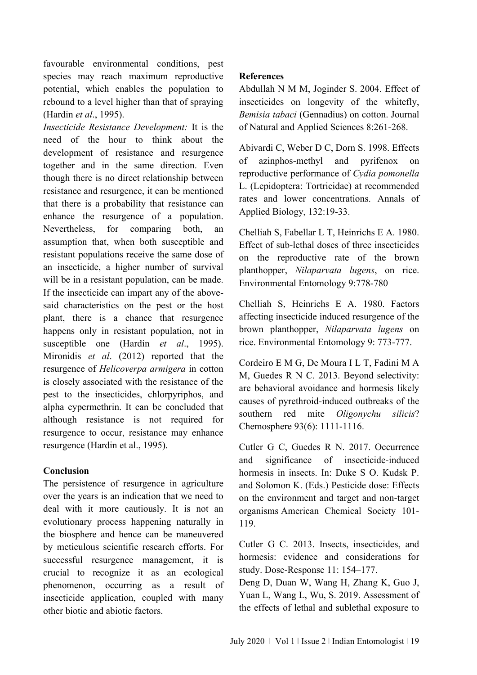favourable environmental conditions, pest species may reach maximum reproductive potential, which enables the population to rebound to a level higher than that of spraying (Hardin *et al*., 1995).

*Insecticide Resistance Development:* It is the need of the hour to think about the development of resistance and resurgence together and in the same direction. Even though there is no direct relationship between resistance and resurgence, it can be mentioned that there is a probability that resistance can enhance the resurgence of a population. Nevertheless, for comparing both, an assumption that, when both susceptible and resistant populations receive the same dose of an insecticide, a higher number of survival will be in a resistant population, can be made. If the insecticide can impart any of the abovesaid characteristics on the pest or the host plant, there is a chance that resurgence happens only in resistant population, not in susceptible one (Hardin *et al*., 1995). Mironidis *et al*. (2012) reported that the resurgence of *Helicoverpa armigera* in cotton is closely associated with the resistance of the pest to the insecticides, chlorpyriphos, and alpha cypermethrin. It can be concluded that although resistance is not required for resurgence to occur, resistance may enhance resurgence (Hardin et al., 1995).

#### **Conclusion**

The persistence of resurgence in agriculture over the years is an indication that we need to deal with it more cautiously. It is not an evolutionary process happening naturally in the biosphere and hence can be maneuvered by meticulous scientific research efforts. For successful resurgence management, it is crucial to recognize it as an ecological phenomenon, occurring as a result of insecticide application, coupled with many other biotic and abiotic factors.

#### **References**

Abdullah N M M, Joginder S. 2004. Effect of insecticides on longevity of the whitefly, *Bemisia tabaci* (Gennadius) on cotton. Journal of Natural and Applied Sciences 8:261-268.

Abivardi C, Weber D C, Dorn S. 1998. Effects of azinphos-methyl and pyrifenox on reproductive performance of *Cydia pomonella* L. (Lepidoptera: Tortricidae) at recommended rates and lower concentrations. Annals of Applied Biology, 132:19-33.

Chelliah S, Fabellar L T, Heinrichs E A. 1980. Effect of sub-lethal doses of three insecticides on the reproductive rate of the brown planthopper, *Nilaparvata lugens*, on rice. Environmental Entomology 9:778-780

Chelliah S, Heinrichs E A. 1980. Factors affecting insecticide induced resurgence of the brown planthopper, *Nilaparvata lugens* on rice. Environmental Entomology 9: 773-777.

Cordeiro E M G, De Moura I L T, Fadini M A M, Guedes R N C. 2013. Beyond selectivity: are behavioral avoidance and hormesis likely causes of pyrethroid-induced outbreaks of the southern red mite *Oligonychu silicis*? Chemosphere 93(6): 1111-1116.

Cutler G C, Guedes R N. 2017. Occurrence and significance of insecticide-induced hormesis in insects. In: Duke S O. Kudsk P. and Solomon K. (Eds.) Pesticide dose: Effects on the environment and target and non-target organisms American Chemical Society 101- 119.

Cutler G C. 2013. Insects, insecticides, and hormesis: evidence and considerations for study. Dose-Response 11: 154–177.

Deng D, Duan W, Wang H, Zhang K, Guo J, Yuan L, Wang L, Wu, S. 2019. Assessment of the effects of lethal and sublethal exposure to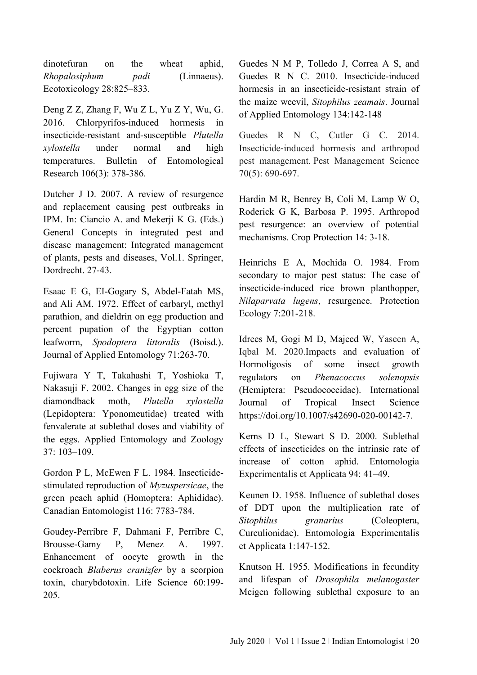dinotefuran on the wheat aphid, *Rhopalosiphum padi* (Linnaeus). Ecotoxicology 28:825–833.

Deng Z Z, Zhang F, Wu Z L, Yu Z Y, Wu, G. 2016. Chlorpyrifos-induced hormesis in insecticide-resistant and-susceptible *Plutella xylostella* under normal and high temperatures. Bulletin of Entomological Research 106(3): 378-386.

Dutcher J D. 2007. A review of resurgence and replacement causing pest outbreaks in IPM. In: Ciancio A. and Mekerji K G. (Eds.) General Concepts in integrated pest and disease management: Integrated management of plants, pests and diseases, Vol.1. Springer, Dordrecht. 27-43.

Esaac E G, EI-Gogary S, Abdel-Fatah MS, and Ali AM. 1972. Effect of carbaryl, methyl parathion, and dieldrin on egg production and percent pupation of the Egyptian cotton leafworm, *Spodoptera littoralis* (Boisd.). Journal of Applied Entomology 71:263-70.

Fujiwara Y T, Takahashi T, Yoshioka T, Nakasuji F. 2002. Changes in egg size of the diamondback moth, *Plutella xylostella* (Lepidoptera: Yponomeutidae) treated with fenvalerate at sublethal doses and viability of the eggs. Applied Entomology and Zoology 37: 103–109.

Gordon P L, McEwen F L. 1984. Insecticidestimulated reproduction of *Myzuspersicae*, the green peach aphid (Homoptera: Aphididae). Canadian Entomologist 116: 7783-784.

Goudey-Perribre F, Dahmani F, Perribre C, Brousse-Gamy P, Menez A. 1997. Enhancement of oocyte growth in the cockroach *Blaberus cranizfer* by a scorpion toxin, charybdotoxin. Life Science 60:199- 205.

Guedes N M P, Tolledo J, Correa A S, and Guedes R N C. 2010. Insecticide-induced hormesis in an insecticide-resistant strain of the maize weevil, *Sitophilus zeamais*. Journal of Applied Entomology 134:142-148

Guedes R N C, Cutler G C. 2014. Insecticide‐induced hormesis and arthropod pest management. Pest Management Science 70(5): 690-697.

Hardin M R, Benrey B, Coli M, Lamp W O, Roderick G K, Barbosa P. 1995. Arthropod pest resurgence: an overview of potential mechanisms. Crop Protection 14: 3-18.

Heinrichs E A, Mochida O. 1984. From secondary to major pest status: The case of insecticide-induced rice brown planthopper, *Nilaparvata lugens*, resurgence. Protection Ecology 7:201-218.

Idrees M, Gogi M D, Majeed W, Yaseen A, Iqbal M. 2020.Impacts and evaluation of Hormoligosis of some insect growth regulators on *Phenacoccus solenopsis* (Hemiptera: Pseudococcidae). International Journal of Tropical Insect Science https://doi.org/10.1007/s42690-020-00142-7.

Kerns D L, Stewart S D. 2000. Sublethal effects of insecticides on the intrinsic rate of increase of cotton aphid. Entomologia Experimentalis et Applicata 94: 41–49.

Keunen D. 1958. Influence of sublethal doses of DDT upon the multiplication rate of *Sitophilus granarius* (Coleoptera, Curculionidae). Entomologia Experimentalis et Applicata 1:147-152.

Knutson H. 1955. Modifications in fecundity and lifespan of *Drosophila melanogaster* Meigen following sublethal exposure to an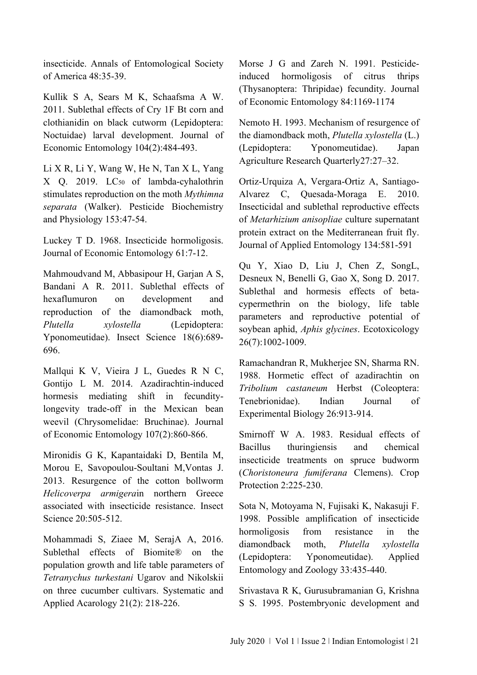insecticide. Annals of Entomological Society of America 48:35-39.

Kullik S A, Sears M K, Schaafsma A W. 2011. Sublethal effects of Cry 1F Bt corn and clothianidin on black cutworm (Lepidoptera: Noctuidae) larval development. Journal of Economic Entomology 104(2):484-493.

Li X R, Li Y, Wang W, He N, Tan X L, Yang X O. 2019. LC<sub>50</sub> of lambda-cyhalothrin stimulates reproduction on the moth *Mythimna separata* (Walker). Pesticide Biochemistry and Physiology 153:47-54.

Luckey T D. 1968. Insecticide hormoligosis. Journal of Economic Entomology 61:7-12.

Mahmoudvand M, Abbasipour H, Garjan A S, Bandani A R. 2011. Sublethal effects of hexaflumuron on development and reproduction of the diamondback moth, *Plutella xylostella* (Lepidoptera: Yponomeutidae). Insect Science 18(6):689- 696.

Mallqui K V, Vieira J L, Guedes R N C, Gontijo L M. 2014. Azadirachtin-induced hormesis mediating shift in fecunditylongevity trade-off in the Mexican bean weevil (Chrysomelidae: Bruchinae). Journal of Economic Entomology 107(2):860-866.

Mironidis G K, Kapantaidaki D, Bentila M, Morou E, Savopoulou-Soultani M,Vontas J. 2013. Resurgence of the cotton bollworm *Helicoverpa armigera*in northern Greece associated with insecticide resistance. Insect Science 20:505-512.

Mohammadi S, Ziaee M, SerajA A, 2016. Sublethal effects of Biomite® on the population growth and life table parameters of *Tetranychus turkestani* Ugarov and Nikolskii on three cucumber cultivars. Systematic and Applied Acarology 21(2): 218-226.

Morse J G and Zareh N. 1991. Pesticideinduced hormoligosis of citrus thrips (Thysanoptera: Thripidae) fecundity. Journal of Economic Entomology 84:1169-1174

Nemoto H. 1993. Mechanism of resurgence of the diamondback moth, *Plutella xylostella* (L.) (Lepidoptera: Yponomeutidae). Japan Agriculture Research Quarterly27:27–32.

Ortiz-Urquiza A, Vergara-Ortiz A, Santiago-Alvarez C, Quesada-Moraga E. 2010. Insecticidal and sublethal reproductive effects of *Metarhizium anisopliae* culture supernatant protein extract on the Mediterranean fruit fly. Journal of Applied Entomology 134:581-591

Qu Y, Xiao D, Liu J, Chen Z, SongL, Desneux N, Benelli G, Gao X, Song D. 2017. Sublethal and hormesis effects of betacypermethrin on the biology, life table parameters and reproductive potential of soybean aphid, *Aphis glycines*. Ecotoxicology 26(7):1002-1009.

Ramachandran R, Mukherjee SN, Sharma RN. 1988. Hormetic effect of azadirachtin on *Tribolium castaneum* Herbst (Coleoptera: Tenebrionidae). Indian Journal of Experimental Biology 26:913-914.

Smirnoff W A. 1983. Residual effects of Bacillus thuringiensis and chemical insecticide treatments on spruce budworm (*Choristoneura fumiferana* Clemens). Crop Protection 2:225-230.

Sota N, Motoyama N, Fujisaki K, Nakasuji F. 1998. Possible amplification of insecticide hormoligosis from resistance in the diamondback moth, *Plutella xylostella* (Lepidoptera: Yponomeutidae). Applied Entomology and Zoology 33:435-440.

Srivastava R K, Gurusubramanian G, Krishna S S. 1995. Postembryonic development and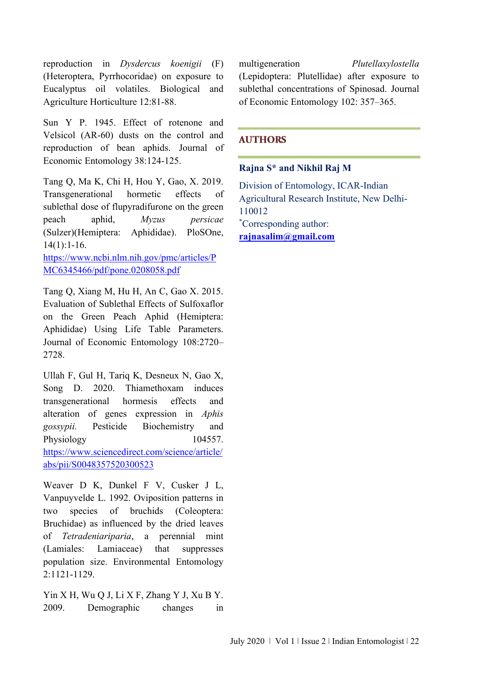reproduction in *Dysdercus koenigii* (F) (Heteroptera, Pyrrhocoridae) on exposure to Eucalyptus oil volatiles. Biological and Agriculture Horticulture 12:81-88.

Sun Y P. 1945. Effect of rotenone and Velsicol (AR-60) dusts on the control and reproduction of bean aphids. Journal of Economic Entomology 38:124-125.

Tang Q, Ma K, Chi H, Hou Y, Gao, X. 2019. Transgenerational hormetic effects of sublethal dose of flupyradifurone on the green peach aphid, *Myzus persicae* (Sulzer)(Hemiptera: Aphididae). PloSOne, 14(1):1-16.

[https://www.ncbi.nlm.nih.gov/pmc/articles/P](https://www.ncbi.nlm.nih.gov/pmc/articles/PMC6345466/pdf/pone.0208058.pdf) [MC6345466/pdf/pone.0208058.pdf](https://www.ncbi.nlm.nih.gov/pmc/articles/PMC6345466/pdf/pone.0208058.pdf)

Tang Q, Xiang M, Hu H, An C, Gao X. 2015. Evaluation of Sublethal Effects of Sulfoxaflor on the Green Peach Aphid (Hemiptera: Aphididae) Using Life Table Parameters. Journal of Economic Entomology 108:2720– 2728.

Ullah F, Gul H, Tariq K, Desneux N, Gao X, Song D. 2020. Thiamethoxam induces transgenerational hormesis effects and alteration of genes expression in *Aphis gossypii.* Pesticide Biochemistry and Physiology 104557. [https://www.sciencedirect.com/science/article/](https://www.sciencedirect.com/science/article/abs/pii/S0048357520300523) [abs/pii/S0048357520300523](https://www.sciencedirect.com/science/article/abs/pii/S0048357520300523)

Weaver D K, Dunkel F V, Cusker J L, Vanpuyvelde L. 1992. Oviposition patterns in two species of bruchids (Coleoptera: Bruchidae) as influenced by the dried leaves of *Tetradeniariparia*, a perennial mint (Lamiales: Lamiaceae) that suppresses population size. Environmental Entomology 2:1121-1129.

Yin X H, Wu Q J, Li X F, Zhang Y J, Xu B Y. 2009. Demographic changes in multigeneration *Plutellaxylostella* (Lepidoptera: Plutellidae) after exposure to sublethal concentrations of Spinosad. Journal of Economic Entomology 102: 357–365.

#### **AUTHORS**

#### **Rajna S\* and Nikhil Raj M**

Division of Entomology, ICAR-Indian Agricultural Research Institute, New Delhi-110012 \*Corresponding author: **[rajnasalim@gmail.com](mailto:rajnasalim@gmail.com)**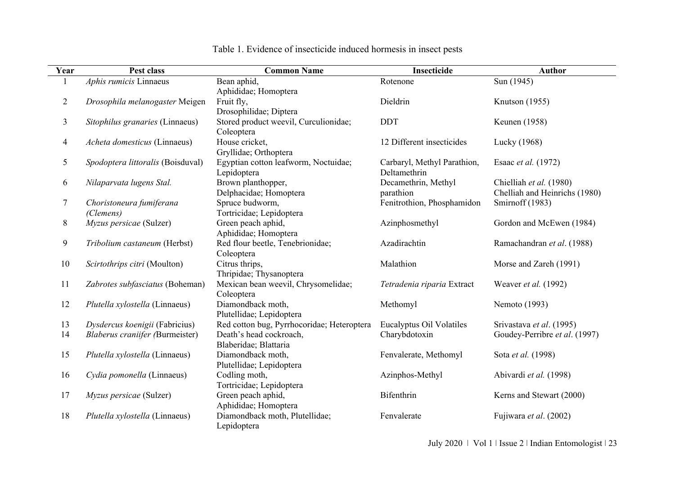| Year                                   | Pest class                                                                                                                                                                                                                              | <b>Common Name</b>                                                                                                                                                                                                                                                                                                                           | Insecticide                                                                                                                    | <b>Author</b>                                                                                                                                                                    |
|----------------------------------------|-----------------------------------------------------------------------------------------------------------------------------------------------------------------------------------------------------------------------------------------|----------------------------------------------------------------------------------------------------------------------------------------------------------------------------------------------------------------------------------------------------------------------------------------------------------------------------------------------|--------------------------------------------------------------------------------------------------------------------------------|----------------------------------------------------------------------------------------------------------------------------------------------------------------------------------|
|                                        | Aphis rumicis Linnaeus                                                                                                                                                                                                                  | Bean aphid,                                                                                                                                                                                                                                                                                                                                  | Rotenone                                                                                                                       | Sun (1945)                                                                                                                                                                       |
|                                        |                                                                                                                                                                                                                                         | Aphididae; Homoptera                                                                                                                                                                                                                                                                                                                         |                                                                                                                                |                                                                                                                                                                                  |
| $\overline{2}$                         | Drosophila melanogaster Meigen                                                                                                                                                                                                          | Fruit fly,                                                                                                                                                                                                                                                                                                                                   | Dieldrin                                                                                                                       | Knutson (1955)                                                                                                                                                                   |
|                                        |                                                                                                                                                                                                                                         | Drosophilidae; Diptera                                                                                                                                                                                                                                                                                                                       |                                                                                                                                |                                                                                                                                                                                  |
| $\mathfrak{Z}$                         | Sitophilus granaries (Linnaeus)                                                                                                                                                                                                         | Stored product weevil, Curculionidae;                                                                                                                                                                                                                                                                                                        | <b>DDT</b>                                                                                                                     | Keunen (1958)                                                                                                                                                                    |
|                                        |                                                                                                                                                                                                                                         | Coleoptera                                                                                                                                                                                                                                                                                                                                   |                                                                                                                                |                                                                                                                                                                                  |
| $\overline{4}$                         | Acheta domesticus (Linnaeus)                                                                                                                                                                                                            | House cricket,                                                                                                                                                                                                                                                                                                                               | 12 Different insecticides                                                                                                      | Lucky (1968)                                                                                                                                                                     |
|                                        |                                                                                                                                                                                                                                         | Gryllidae; Orthoptera                                                                                                                                                                                                                                                                                                                        |                                                                                                                                |                                                                                                                                                                                  |
| 5                                      | Spodoptera littoralis (Boisduval)                                                                                                                                                                                                       | Egyptian cotton leafworm, Noctuidae;                                                                                                                                                                                                                                                                                                         | Carbaryl, Methyl Parathion,                                                                                                    | Esaac et al. (1972)                                                                                                                                                              |
|                                        |                                                                                                                                                                                                                                         | Lepidoptera                                                                                                                                                                                                                                                                                                                                  | Deltamethrin                                                                                                                   |                                                                                                                                                                                  |
| 6                                      | Nilaparvata lugens Stal.                                                                                                                                                                                                                | Brown planthopper,                                                                                                                                                                                                                                                                                                                           | Decamethrin, Methyl                                                                                                            | Chielliah et al. (1980)                                                                                                                                                          |
|                                        |                                                                                                                                                                                                                                         | Delphacidae; Homoptera                                                                                                                                                                                                                                                                                                                       | parathion                                                                                                                      | Chelliah and Heinrichs (1980)                                                                                                                                                    |
| 7                                      | Choristoneura fumiferana                                                                                                                                                                                                                | Spruce budworm,                                                                                                                                                                                                                                                                                                                              | Fenitrothion, Phosphamidon                                                                                                     | Smirnoff (1983)                                                                                                                                                                  |
|                                        | (Clemens)                                                                                                                                                                                                                               | Tortricidae; Lepidoptera                                                                                                                                                                                                                                                                                                                     |                                                                                                                                |                                                                                                                                                                                  |
| 8                                      | Myzus persicae (Sulzer)                                                                                                                                                                                                                 | Green peach aphid,                                                                                                                                                                                                                                                                                                                           | Azinphosmethyl                                                                                                                 | Gordon and McEwen (1984)                                                                                                                                                         |
|                                        |                                                                                                                                                                                                                                         | Aphididae; Homoptera                                                                                                                                                                                                                                                                                                                         |                                                                                                                                |                                                                                                                                                                                  |
| 9                                      | Tribolium castaneum (Herbst)                                                                                                                                                                                                            | Red flour beetle, Tenebrionidae;                                                                                                                                                                                                                                                                                                             | Azadirachtin                                                                                                                   | Ramachandran et al. (1988)                                                                                                                                                       |
|                                        |                                                                                                                                                                                                                                         | Coleoptera                                                                                                                                                                                                                                                                                                                                   |                                                                                                                                |                                                                                                                                                                                  |
| 10                                     | Scirtothrips citri (Moulton)                                                                                                                                                                                                            | Citrus thrips,                                                                                                                                                                                                                                                                                                                               | Malathion                                                                                                                      | Morse and Zareh (1991)                                                                                                                                                           |
|                                        |                                                                                                                                                                                                                                         | Thripidae; Thysanoptera                                                                                                                                                                                                                                                                                                                      |                                                                                                                                |                                                                                                                                                                                  |
| 11                                     | Zabrotes subfasciatus (Boheman)                                                                                                                                                                                                         | Mexican bean weevil, Chrysomelidae;                                                                                                                                                                                                                                                                                                          | Tetradenia riparia Extract                                                                                                     | Weaver et al. (1992)                                                                                                                                                             |
|                                        |                                                                                                                                                                                                                                         | Coleoptera                                                                                                                                                                                                                                                                                                                                   |                                                                                                                                |                                                                                                                                                                                  |
|                                        |                                                                                                                                                                                                                                         |                                                                                                                                                                                                                                                                                                                                              |                                                                                                                                |                                                                                                                                                                                  |
|                                        |                                                                                                                                                                                                                                         |                                                                                                                                                                                                                                                                                                                                              |                                                                                                                                |                                                                                                                                                                                  |
|                                        |                                                                                                                                                                                                                                         |                                                                                                                                                                                                                                                                                                                                              |                                                                                                                                |                                                                                                                                                                                  |
|                                        |                                                                                                                                                                                                                                         |                                                                                                                                                                                                                                                                                                                                              |                                                                                                                                |                                                                                                                                                                                  |
|                                        |                                                                                                                                                                                                                                         |                                                                                                                                                                                                                                                                                                                                              |                                                                                                                                |                                                                                                                                                                                  |
|                                        |                                                                                                                                                                                                                                         |                                                                                                                                                                                                                                                                                                                                              |                                                                                                                                |                                                                                                                                                                                  |
|                                        |                                                                                                                                                                                                                                         |                                                                                                                                                                                                                                                                                                                                              |                                                                                                                                |                                                                                                                                                                                  |
|                                        |                                                                                                                                                                                                                                         |                                                                                                                                                                                                                                                                                                                                              |                                                                                                                                |                                                                                                                                                                                  |
|                                        |                                                                                                                                                                                                                                         |                                                                                                                                                                                                                                                                                                                                              |                                                                                                                                |                                                                                                                                                                                  |
|                                        |                                                                                                                                                                                                                                         |                                                                                                                                                                                                                                                                                                                                              |                                                                                                                                |                                                                                                                                                                                  |
|                                        |                                                                                                                                                                                                                                         |                                                                                                                                                                                                                                                                                                                                              |                                                                                                                                |                                                                                                                                                                                  |
|                                        |                                                                                                                                                                                                                                         |                                                                                                                                                                                                                                                                                                                                              |                                                                                                                                |                                                                                                                                                                                  |
| 12<br>13<br>14<br>15<br>16<br>17<br>18 | Plutella xylostella (Linnaeus)<br>Dysdercus koenigii (Fabricius)<br><b>Blaberus craniifer (Burmeister)</b><br>Plutella xylostella (Linnaeus)<br>Cydia pomonella (Linnaeus)<br>Myzus persicae (Sulzer)<br>Plutella xylostella (Linnaeus) | Diamondback moth,<br>Plutellidae; Lepidoptera<br>Red cotton bug, Pyrrhocoridae; Heteroptera<br>Death's head cockroach,<br>Blaberidae; Blattaria<br>Diamondback moth,<br>Plutellidae; Lepidoptera<br>Codling moth,<br>Tortricidae; Lepidoptera<br>Green peach aphid,<br>Aphididae; Homoptera<br>Diamondback moth, Plutellidae;<br>Lepidoptera | Methomyl<br>Eucalyptus Oil Volatiles<br>Charybdotoxin<br>Fenvalerate, Methomyl<br>Azinphos-Methyl<br>Bifenthrin<br>Fenvalerate | Nemoto (1993)<br>Srivastava et al. (1995)<br>Goudey-Perribre et al. (1997)<br>Sota et al. (1998)<br>Abivardi et al. (1998)<br>Kerns and Stewart (2000)<br>Fujiwara et al. (2002) |

## Table 1. Evidence of insecticide induced hormesis in insect pests